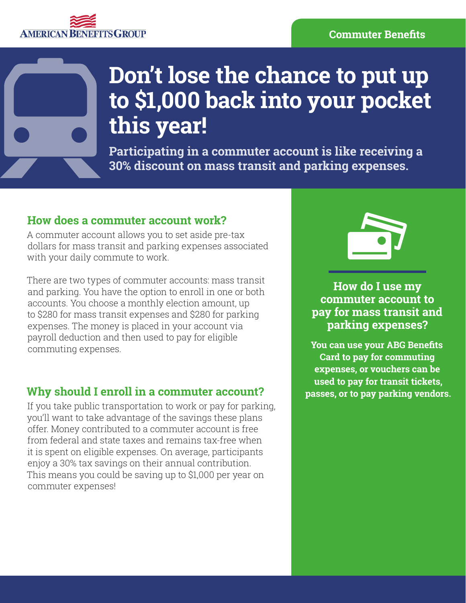#### **Commuter Benefits**

## **AMERICAN BE EFITS GROUP**



# **Don't lose the chance to put up to \$1,000 back into your pocket this year!**

**Participating in a commuter account is like receiving a 30% discount on mass transit and parking expenses.**

## **How does a commuter account work?**

A commuter account allows you to set aside pre-tax dollars for mass transit and parking expenses associated with your daily commute to work.

There are two types of commuter accounts: mass transit and parking. You have the option to enroll in one or both accounts. You choose a monthly election amount, up to \$280 for mass transit expenses and \$280 for parking expenses. The money is placed in your account via payroll deduction and then used to pay for eligible commuting expenses.

## **Why should I enroll in a commuter account?**

If you take public transportation to work or pay for parking, you'll want to take advantage of the savings these plans offer. Money contributed to a commuter account is free from federal and state taxes and remains tax-free when it is spent on eligible expenses. On average, participants enjoy a 30% tax savings on their annual contribution. This means you could be saving up to \$1,000 per year on commuter expenses!



**How do I use my commuter account to pay for mass transit and parking expenses?**

**You can use your ABG Benefits Card to pay for commuting expenses, or vouchers can be used to pay for transit tickets, passes, or to pay parking vendors.**